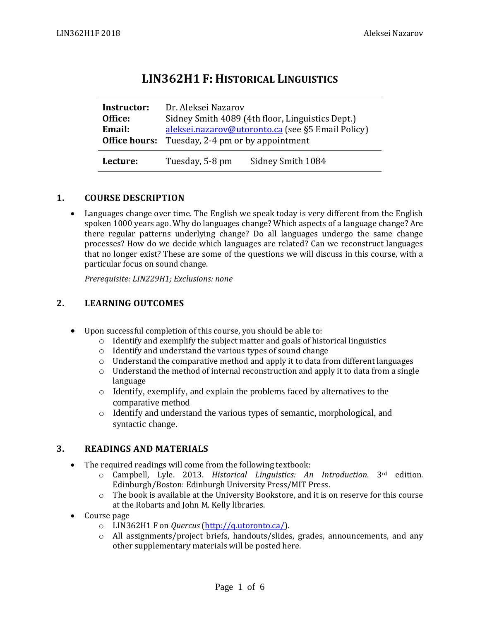# **LIN362H1 F: HISTORICAL LINGUISTICS**

| Instructor:   | Dr. Aleksei Nazarov                               |                   |  |
|---------------|---------------------------------------------------|-------------------|--|
| Office:       | Sidney Smith 4089 (4th floor, Linguistics Dept.)  |                   |  |
| Email:        | aleksei.nazarov@utoronto.ca (see §5 Email Policy) |                   |  |
| Office hours: | Tuesday, 2-4 pm or by appointment                 |                   |  |
| Lecture:      | Tuesday, 5-8 pm                                   | Sidney Smith 1084 |  |

# **1. COURSE DESCRIPTION**

• Languages change over time. The English we speak today is very different from the English spoken 1000 years ago. Why do languages change? Which aspects of a language change? Are there regular patterns underlying change? Do all languages undergo the same change processes? How do we decide which languages are related? Can we reconstruct languages that no longer exist? These are some of the questions we will discuss in this course, with a particular focus on sound change.

*Prerequisite: LIN229H1; Exclusions: none* 

# **2. LEARNING OUTCOMES**

- Upon successful completion of this course, you should be able to:
	- o Identify and exemplify the subject matter and goals of historical linguistics
	- o Identify and understand the various types of sound change
	- $\circ$  Understand the comparative method and apply it to data from different languages
	- o Understand the method of internal reconstruction and apply it to data from a single language
	- o Identify, exemplify, and explain the problems faced by alternatives to the comparative method
	- o Identify and understand the various types of semantic, morphological, and syntactic change.

## **3. READINGS AND MATERIALS**

- The required readings will come from the following textbook:
	- o Campbell, Lyle. 2013. *Historical Linguistics: An Introduction*. 3rd edition. Edinburgh/Boston: Edinburgh University Press/MIT Press.
	- o The book is available at the University Bookstore, and it is on reserve for this course at the Robarts and John M. Kelly libraries.
- Course page
	- o LIN362H1 F on *Quercus* [\(http://q.utoronto.ca/\)](http://q.utoronto.ca/).
	- $\circ$  All assignments/project briefs, handouts/slides, grades, announcements, and any other supplementary materials will be posted here.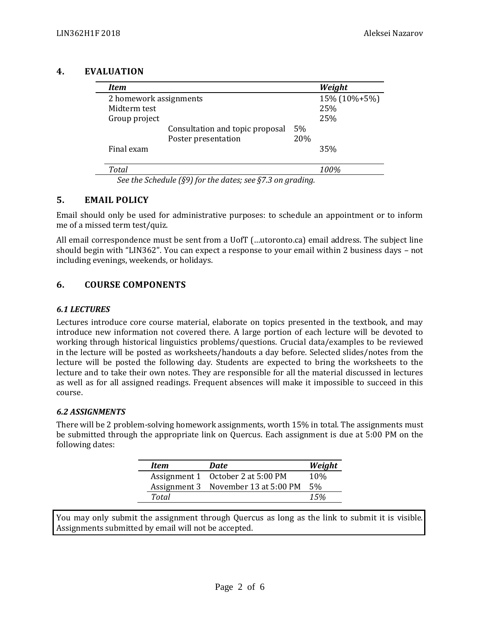#### **4. EVALUATION**

| Item                   |                                 |     | Weight       |
|------------------------|---------------------------------|-----|--------------|
| 2 homework assignments |                                 |     | 15% (10%+5%) |
| Midterm test           |                                 |     | 25%          |
| Group project          |                                 |     | 25%          |
|                        | Consultation and topic proposal | 5%  |              |
|                        | Poster presentation             | 20% |              |
| Final exam             |                                 |     | 35%          |
| <b>Total</b>           |                                 |     | 100%         |

*See the Schedule (§9) for the dates; see §7.3 on grading.*

## **5. EMAIL POLICY**

Email should only be used for administrative purposes: to schedule an appointment or to inform me of a missed term test/quiz.

All email correspondence must be sent from a UofT (…utoronto.ca) email address. The subject line should begin with "LIN362". You can expect a response to your email within 2 business days – not including evenings, weekends, or holidays.

# **6. COURSE COMPONENTS**

#### *6.1 LECTURES*

Lectures introduce core course material, elaborate on topics presented in the textbook, and may introduce new information not covered there. A large portion of each lecture will be devoted to working through historical linguistics problems/questions. Crucial data/examples to be reviewed in the lecture will be posted as worksheets/handouts a day before. Selected slides/notes from the lecture will be posted the following day. Students are expected to bring the worksheets to the lecture and to take their own notes. They are responsible for all the material discussed in lectures as well as for all assigned readings. Frequent absences will make it impossible to succeed in this course.

#### *6.2 ASSIGNMENTS*

There will be 2 problem-solving homework assignments, worth 15% in total. The assignments must be submitted through the appropriate link on Quercus. Each assignment is due at 5:00 PM on the following dates:

| Item  | Date                                | Weight          |
|-------|-------------------------------------|-----------------|
|       | Assignment 1 October 2 at 5:00 PM   | 10\%            |
|       | Assignment 3 November 13 at 5:00 PM | .5 <sub>%</sub> |
| Total |                                     | 15%             |

You may only submit the assignment through Quercus as long as the link to submit it is visible. Assignments submitted by email will not be accepted.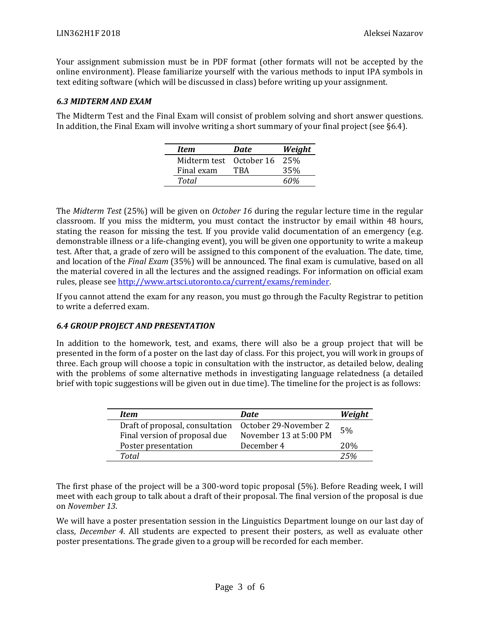Your assignment submission must be in PDF format (other formats will not be accepted by the online environment). Please familiarize yourself with the various methods to input IPA symbols in text editing software (which will be discussed in class) before writing up your assignment.

#### *6.3 MIDTERM AND EXAM*

The Midterm Test and the Final Exam will consist of problem solving and short answer questions. In addition, the Final Exam will involve writing a short summary of your final project (see §6.4).

| Item                    | <b>Date</b> | Weight |
|-------------------------|-------------|--------|
| Midterm test October 16 |             | 25%    |
| Final exam              | TRA         | 35%    |
| Total                   |             | 60%    |

The *Midterm Test* (25%) will be given on *October 16* during the regular lecture time in the regular classroom. If you miss the midterm, you must contact the instructor by email within 48 hours, stating the reason for missing the test. If you provide valid documentation of an emergency (e.g. demonstrable illness or a life-changing event), you will be given one opportunity to write a makeup test. After that, a grade of zero will be assigned to this component of the evaluation. The date, time, and location of the *Final Exam* (35%) will be announced. The final exam is cumulative, based on all the material covered in all the lectures and the assigned readings. For information on official exam rules, please se[e http://www.artsci.utoronto.ca/current/exams/reminder.](http://www.artsci.utoronto.ca/current/exams/reminder)

If you cannot attend the exam for any reason, you must go through the Faculty Registrar to petition to write a deferred exam.

#### *6.4 GROUP PROJECT AND PRESENTATION*

In addition to the homework, test, and exams, there will also be a group project that will be presented in the form of a poster on the last day of class. For this project, you will work in groups of three. Each group will choose a topic in consultation with the instructor, as detailed below, dealing with the problems of some alternative methods in investigating language relatedness (a detailed brief with topic suggestions will be given out in due time). The timeline for the project is as follows:

| <b>Item</b>                     | <b>Date</b>            | Weight          |
|---------------------------------|------------------------|-----------------|
| Draft of proposal, consultation | October 29-November 2  | 5%              |
| Final version of proposal due   | November 13 at 5:00 PM |                 |
| Poster presentation             | December 4             | 20 <sub>%</sub> |
| Total                           |                        | 25%             |

The first phase of the project will be a 300-word topic proposal (5%). Before Reading week, I will meet with each group to talk about a draft of their proposal. The final version of the proposal is due on *November 13*.

We will have a poster presentation session in the Linguistics Department lounge on our last day of class, *December 4*. All students are expected to present their posters, as well as evaluate other poster presentations. The grade given to a group will be recorded for each member.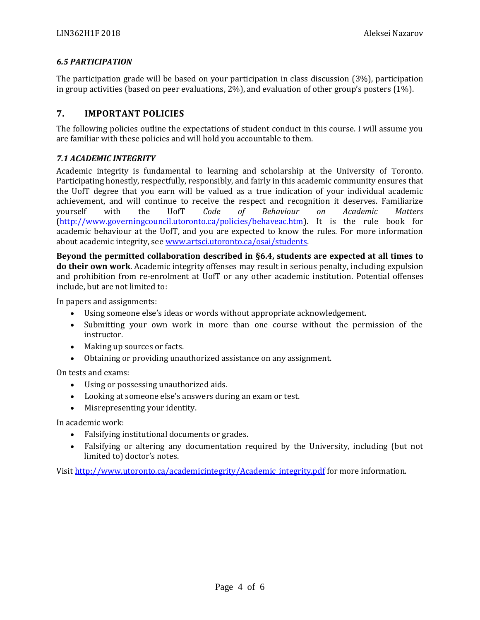#### *6.5 PARTICIPATION*

The participation grade will be based on your participation in class discussion (3%), participation in group activities (based on peer evaluations, 2%), and evaluation of other group's posters (1%).

## **7. IMPORTANT POLICIES**

The following policies outline the expectations of student conduct in this course. I will assume you are familiar with these policies and will hold you accountable to them.

#### *7.1 ACADEMIC INTEGRITY*

Academic integrity is fundamental to learning and scholarship at the University of Toronto. Participating honestly, respectfully, responsibly, and fairly in this academic community ensures that the UofT degree that you earn will be valued as a true indication of your individual academic achievement, and will continue to receive the respect and recognition it deserves. Familiarize yourself with the UofT *Code of Behaviour on Academic Matters* [\(http://www.governingcouncil.utoronto.ca/policies/behaveac.htm\)](http://www.governingcouncil.utoronto.ca/policies/behaveac.htm). It is the rule book for academic behaviour at the UofT, and you are expected to know the rules. For more information about academic integrity, see [www.artsci.utoronto.ca/osai/students.](http://www.artsci.utoronto.ca/osai/students)

**Beyond the permitted collaboration described in §6.4, students are expected at all times to do their own work**. Academic integrity offenses may result in serious penalty, including expulsion and prohibition from re-enrolment at UofT or any other academic institution. Potential offenses include, but are not limited to:

In papers and assignments:

- Using someone else's ideas or words without appropriate acknowledgement.
- Submitting your own work in more than one course without the permission of the instructor.
- Making up sources or facts.
- Obtaining or providing unauthorized assistance on any assignment.

On tests and exams:

- Using or possessing unauthorized aids.
- Looking at someone else's answers during an exam or test.
- Misrepresenting your identity.

In academic work:

- Falsifying institutional documents or grades.
- Falsifying or altering any documentation required by the University, including (but not limited to) doctor's notes.

Visi[t http://www.utoronto.ca/academicintegrity/Academic\\_integrity.pdf](http://www.utoronto.ca/academicintegrity/Academic_integrity.pdf) for more information.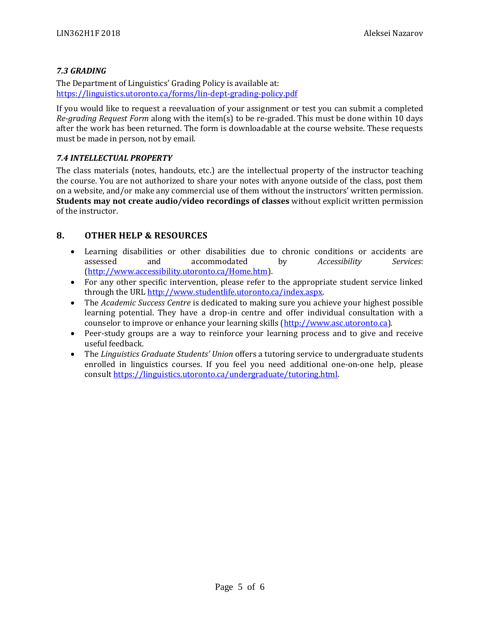### *7.3 GRADING*

The Department of Linguistics' Grading Policy is available at: <https://linguistics.utoronto.ca/forms/lin-dept-grading-policy.pdf>

If you would like to request a reevaluation of your assignment or test you can submit a completed *Re-grading Request Form* along with the item(s) to be re-graded. This must be done within 10 days after the work has been returned. The form is downloadable at the course website. These requests must be made in person, not by email.

#### *7.4 INTELLECTUAL PROPERTY*

The class materials (notes, handouts, etc.) are the intellectual property of the instructor teaching the course. You are not authorized to share your notes with anyone outside of the class, post them on a website, and/or make any commercial use of them without the instructors' written permission. **Students may not create audio/video recordings of classes** without explicit written permission of the instructor.

## **8. OTHER HELP & RESOURCES**

- Learning disabilities or other disabilities due to chronic conditions or accidents are assessed and accommodated by *Accessibility Services*: [\(http://www.accessibility.utoronto.ca/Home.htm\)](http://www.accessibility.utoronto.ca/Home.htm).
- For any other specific intervention, please refer to the appropriate student service linked through the URL [http://www.studentlife.utoronto.ca/index.aspx.](http://www.studentlife.utoronto.ca/index.aspx)
- The *Academic Success Centre* is dedicated to making sure you achieve your highest possible learning potential. They have a drop-in centre and offer individual consultation with a counselor to improve or enhance your learning skills [\(http://www.asc.utoronto.ca\)](http://www.asc.utoronto.ca/).
- Peer-study groups are a way to reinforce your learning process and to give and receive useful feedback.
- The *Linguistics Graduate Students' Union* offers a tutoring service to undergraduate students enrolled in linguistics courses. If you feel you need additional one‐on‐one help, please consul[t https://linguistics.utoronto.ca/undergraduate/tutoring.html.](https://linguistics.utoronto.ca/undergraduate/tutoring.html)